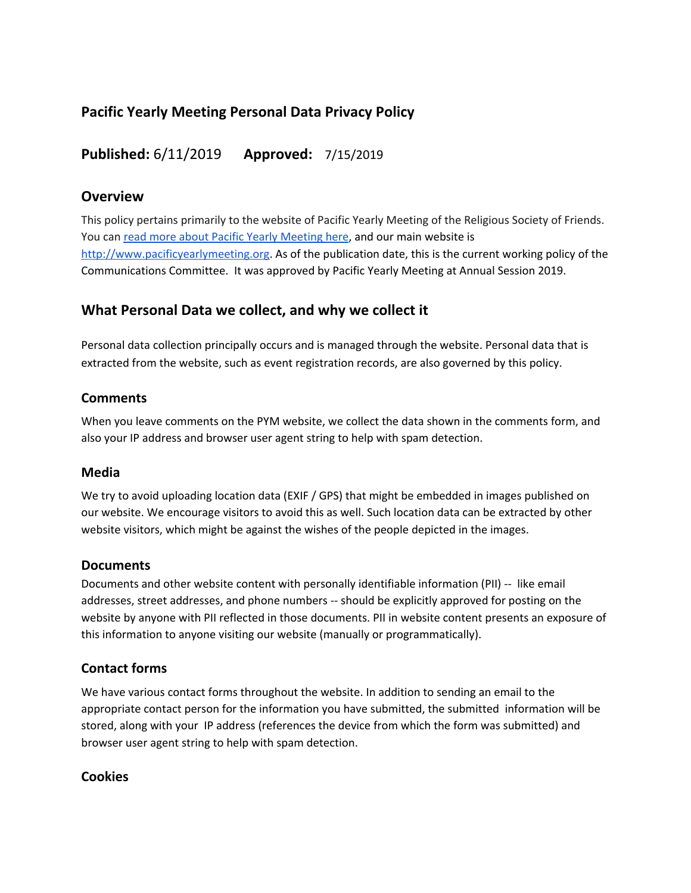## **Pacific Yearly Meeting Personal Data Privacy Policy**

**Published:** 6/11/2019 **Approved:** 7/15/2019

## **Overview**

This policy pertains primarily to the website of Pacific Yearly Meeting of the Religious Society of Friends. You can read more about Pacific Yearly [Meeting](http://www.pacificyearlymeeting.org/about/) here, and our main website is [http://www.pacificyearlymeeting.org.](http://www.pacificyearlymeeting.org/) As of the publication date, this is the current working policy of the Communications Committee. It was approved by Pacific Yearly Meeting at Annual Session 2019.

## **What Personal Data we collect, and why we collect it**

Personal data collection principally occurs and is managed through the website. Personal data that is extracted from the website, such as event registration records, are also governed by this policy.

## **Comments**

When you leave comments on the PYM website, we collect the data shown in the comments form, and also your IP address and browser user agent string to help with spam detection.

## **Media**

We try to avoid uploading location data (EXIF / GPS) that might be embedded in images published on our website. We encourage visitors to avoid this as well. Such location data can be extracted by other website visitors, which might be against the wishes of the people depicted in the images.

## **Documents**

Documents and other website content with personally identifiable information (PII) -- like email addresses, street addresses, and phone numbers -- should be explicitly approved for posting on the website by anyone with PII reflected in those documents. PII in website content presents an exposure of this information to anyone visiting our website (manually or programmatically).

## **Contact forms**

We have various contact forms throughout the website. In addition to sending an email to the appropriate contact person for the information you have submitted, the submitted information will be stored, along with your IP address (references the device from which the form was submitted) and browser user agent string to help with spam detection.

## **Cookies**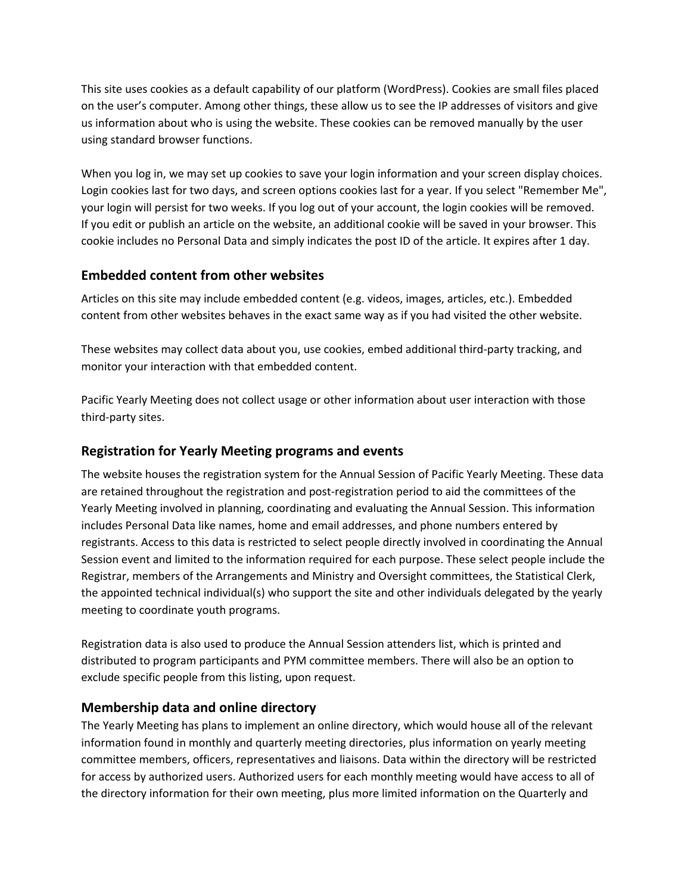This site uses cookies as a default capability of our platform (WordPress). Cookies are small files placed on the user's computer. Among other things, these allow us to see the IP addresses of visitors and give us information about who is using the website. These cookies can be removed manually by the user using standard browser functions.

When you log in, we may set up cookies to save your login information and your screen display choices. Login cookies last for two days, and screen options cookies last for a year. If you select "Remember Me", your login will persist for two weeks. If you log out of your account, the login cookies will be removed. If you edit or publish an article on the website, an additional cookie will be saved in your browser. This cookie includes no Personal Data and simply indicates the post ID of the article. It expires after 1 day.

## **Embedded content from other websites**

Articles on this site may include embedded content (e.g. videos, images, articles, etc.). Embedded content from other websites behaves in the exact same way as if you had visited the other website.

These websites may collect data about you, use cookies, embed additional third-party tracking, and monitor your interaction with that embedded content.

Pacific Yearly Meeting does not collect usage or other information about user interaction with those third-party sites.

## **Registration for Yearly Meeting programs and events**

The website houses the registration system for the Annual Session of Pacific Yearly Meeting. These data are retained throughout the registration and post-registration period to aid the committees of the Yearly Meeting involved in planning, coordinating and evaluating the Annual Session. This information includes Personal Data like names, home and email addresses, and phone numbers entered by registrants. Access to this data is restricted to select people directly involved in coordinating the Annual Session event and limited to the information required for each purpose. These select people include the Registrar, members of the Arrangements and Ministry and Oversight committees, the Statistical Clerk, the appointed technical individual(s) who support the site and other individuals delegated by the yearly meeting to coordinate youth programs.

Registration data is also used to produce the Annual Session attenders list, which is printed and distributed to program participants and PYM committee members. There will also be an option to exclude specific people from this listing, upon request.

## **Membership data and online directory**

The Yearly Meeting has plans to implement an online directory, which would house all of the relevant information found in monthly and quarterly meeting directories, plus information on yearly meeting committee members, officers, representatives and liaisons. Data within the directory will be restricted for access by authorized users. Authorized users for each monthly meeting would have access to all of the directory information for their own meeting, plus more limited information on the Quarterly and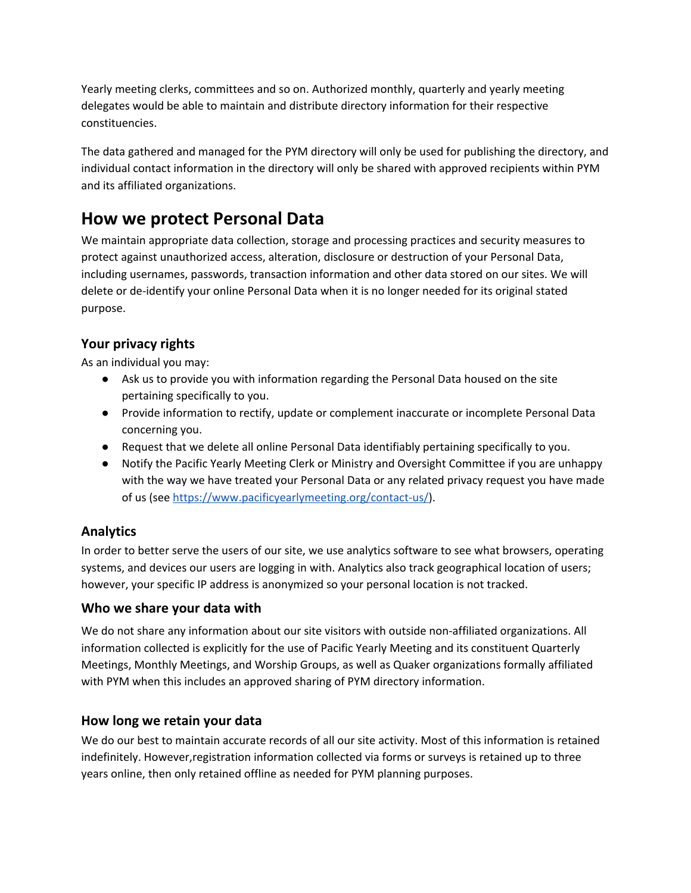Yearly meeting clerks, committees and so on. Authorized monthly, quarterly and yearly meeting delegates would be able to maintain and distribute directory information for their respective constituencies.

The data gathered and managed for the PYM directory will only be used for publishing the directory, and individual contact information in the directory will only be shared with approved recipients within PYM and its affiliated organizations.

## **How we protect Personal Data**

We maintain appropriate data collection, storage and processing practices and security measures to protect against unauthorized access, alteration, disclosure or destruction of your Personal Data, including usernames, passwords, transaction information and other data stored on our sites. We will delete or de-identify your online Personal Data when it is no longer needed for its original stated purpose.

## **Your privacy rights**

As an individual you may:

- Ask us to provide you with information regarding the Personal Data housed on the site pertaining specifically to you.
- Provide information to rectify, update or complement inaccurate or incomplete Personal Data concerning you.
- Request that we delete all online Personal Data identifiably pertaining specifically to you.
- Notify the Pacific Yearly Meeting Clerk or Ministry and Oversight Committee if you are unhappy with the way we have treated your Personal Data or any related privacy request you have made of us (see [https://www.pacificyearlymeeting.org/contact-us/\)](https://www.pacificyearlymeeting.org/contact-us/).

## **Analytics**

In order to better serve the users of our site, we use analytics software to see what browsers, operating systems, and devices our users are logging in with. Analytics also track geographical location of users; however, your specific IP address is anonymized so your personal location is not tracked.

## **Who we share your data with**

We do not share any information about our site visitors with outside non-affiliated organizations. All information collected is explicitly for the use of Pacific Yearly Meeting and its constituent Quarterly Meetings, Monthly Meetings, and Worship Groups, as well as Quaker organizations formally affiliated with PYM when this includes an approved sharing of PYM directory information.

## **How long we retain your data**

We do our best to maintain accurate records of all our site activity. Most of this information is retained indefinitely. However,registration information collected via forms or surveys is retained up to three years online, then only retained offline as needed for PYM planning purposes.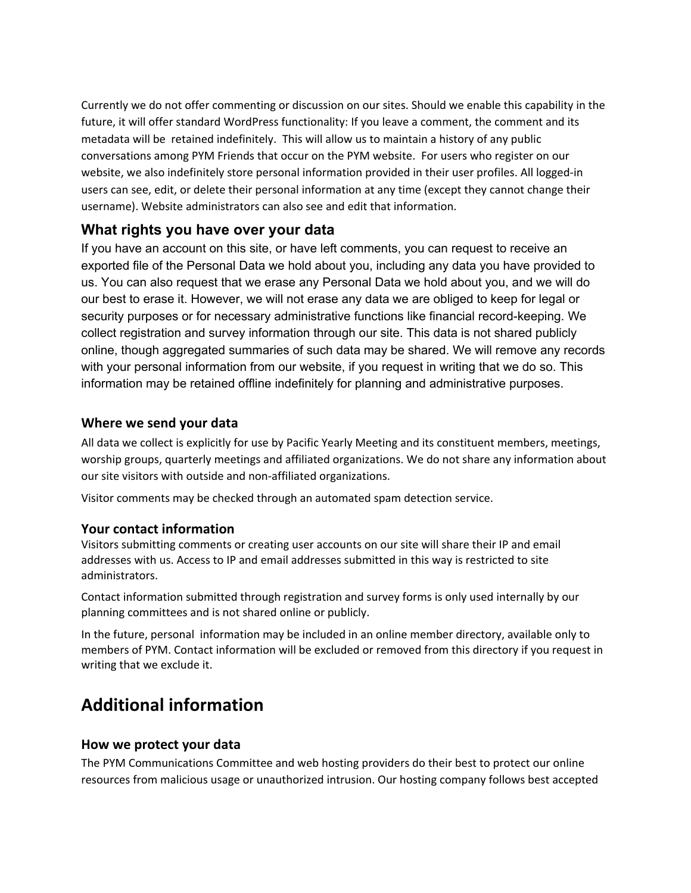Currently we do not offer commenting or discussion on our sites. Should we enable this capability in the future, it will offer standard WordPress functionality: If you leave a comment, the comment and its metadata will be retained indefinitely. This will allow us to maintain a history of any public conversations among PYM Friends that occur on the PYM website. For users who register on our website, we also indefinitely store personal information provided in their user profiles. All logged-in users can see, edit, or delete their personal information at any time (except they cannot change their username). Website administrators can also see and edit that information.

## **What rights you have over your data**

If you have an account on this site, or have left comments, you can request to receive an exported file of the Personal Data we hold about you, including any data you have provided to us. You can also request that we erase any Personal Data we hold about you, and we will do our best to erase it. However, we will not erase any data we are obliged to keep for legal or security purposes or for necessary administrative functions like financial record-keeping. We collect registration and survey information through our site. This data is not shared publicly online, though aggregated summaries of such data may be shared. We will remove any records with your personal information from our website, if you request in writing that we do so. This information may be retained offline indefinitely for planning and administrative purposes.

## **Where we send your data**

All data we collect is explicitly for use by Pacific Yearly Meeting and its constituent members, meetings, worship groups, quarterly meetings and affiliated organizations. We do not share any information about our site visitors with outside and non-affiliated organizations.

Visitor comments may be checked through an automated spam detection service.

## **Your contact information**

Visitors submitting comments or creating user accounts on our site will share their IP and email addresses with us. Access to IP and email addresses submitted in this way is restricted to site administrators.

Contact information submitted through registration and survey forms is only used internally by our planning committees and is not shared online or publicly.

In the future, personal information may be included in an online member directory, available only to members of PYM. Contact information will be excluded or removed from this directory if you request in writing that we exclude it.

# **Additional information**

## **How we protect your data**

The PYM Communications Committee and web hosting providers do their best to protect our online resources from malicious usage or unauthorized intrusion. Our hosting company follows best accepted